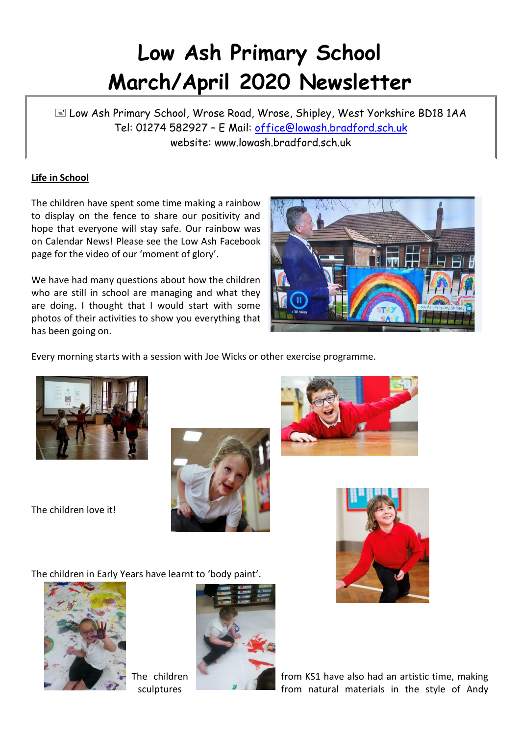# **Low Ash Primary School March/April 2020 Newsletter**

 Low Ash Primary School, Wrose Road, Wrose, Shipley, West Yorkshire BD18 1AA Tel: 01274 582927 – E Mail: [office@lowash.bradford.sch.uk](mailto:office@lowash.bradford.sch.uk) website: www.lowash.bradford.sch.uk

## **Life in School**

The children have spent some time making a rainbow to display on the fence to share our positivity and hope that everyone will stay safe. Our rainbow was on Calendar News! Please see the Low Ash Facebook page for the video of our 'moment of glory'.

We have had many questions about how the children who are still in school are managing and what they are doing. I thought that I would start with some photos of their activities to show you everything that has been going on.



Every morning starts with a session with Joe Wicks or other exercise programme.



The children love it!







The children in Early Years have learnt to 'body paint'.





The children **from KS1** have also had an artistic time, making sculptures **From natural materials in the style of Andy**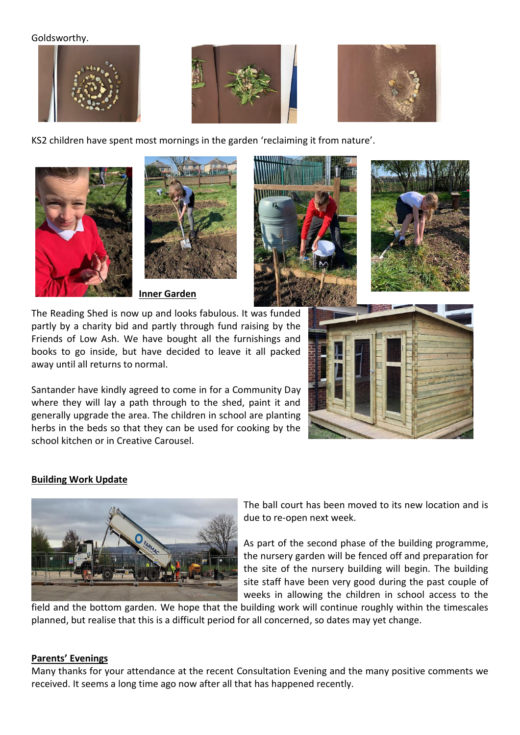#### Goldsworthy.







KS2 children have spent most mornings in the garden 'reclaiming it from nature'.





**Inner Garden** 

The Reading Shed is now up and looks fabulous. It was funded partly by a charity bid and partly through fund raising by the Friends of Low Ash. We have bought all the furnishings and books to go inside, but have decided to leave it all packed away until all returns to normal.

Santander have kindly agreed to come in for a Community Day where they will lay a path through to the shed, paint it and generally upgrade the area. The children in school are planting herbs in the beds so that they can be used for cooking by the school kitchen or in Creative Carousel.





### **Building Work Update**



The ball court has been moved to its new location and is due to re-open next week.

As part of the second phase of the building programme, the nursery garden will be fenced off and preparation for the site of the nursery building will begin. The building site staff have been very good during the past couple of weeks in allowing the children in school access to the

field and the bottom garden. We hope that the building work will continue roughly within the timescales planned, but realise that this is a difficult period for all concerned, so dates may yet change.

### **Parents' Evenings**

Many thanks for your attendance at the recent Consultation Evening and the many positive comments we received. It seems a long time ago now after all that has happened recently.